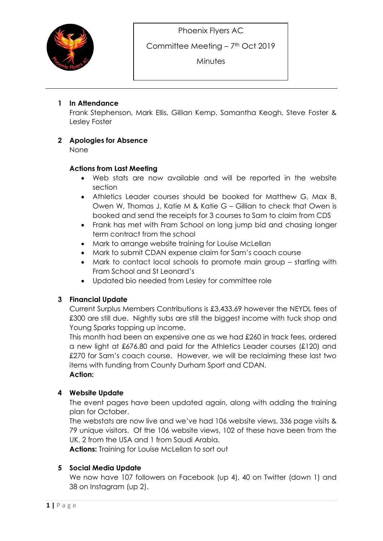

Committee Meeting – 7<sup>th</sup> Oct 2019

**Minutes** 

## **1 In Attendance**

Frank Stephenson, Mark Ellis, Gillian Kemp, Samantha Keogh, Steve Foster & Lesley Foster

# **2 Apologies for Absence**

None

## **Actions from Last Meeting**

- Web stats are now available and will be reported in the website section
- Athletics Leader courses should be booked for Matthew G, Max B, Owen W, Thomas J, Katie M & Katie G – Gillian to check that Owen is booked and send the receipts for 3 courses to Sam to claim from CDS
- Frank has met with Fram School on long jump bid and chasing longer term contract from the school
- Mark to arrange website training for Louise McLellan
- Mark to submit CDAN expense claim for Sam's coach course
- Mark to contact local schools to promote main group starting with Fram School and St Leonard's
- Updated bio needed from Lesley for committee role

# **3 Financial Update**

Current Surplus Members Contributions is £3,433.69 however the NEYDL fees of £300 are still due. Nightly subs are still the biggest income with tuck shop and Young Sparks topping up income.

This month had been an expensive one as we had £260 in track fees, ordered a new light at £676.80 and paid for the Athletics Leader courses (£120) and £270 for Sam's coach course. However, we will be reclaiming these last two items with funding from County Durham Sport and CDAN. **Action:**

## **4 Website Update**

The event pages have been updated again, along with adding the training plan for October.

The webstats are now live and we've had 106 website views, 336 page visits & 79 unique visitors. Of the 106 website views, 102 of these have been from the UK, 2 from the USA and 1 from Saudi Arabia.

**Actions:** Training for Louise McLellan to sort out

## **5 Social Media Update**

We now have 107 followers on Facebook (up 4), 40 on Twitter (down 1) and 38 on Instagram (up 2).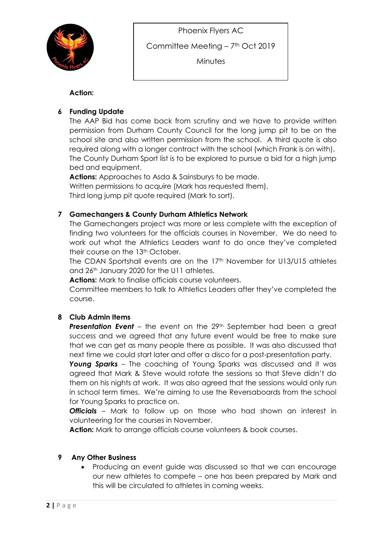



Committee Meeting – 7<sup>th</sup> Oct 2019

**Minutes** 

## **Action:**

# **6 Funding Update**

The AAP Bid has come back from scrutiny and we have to provide written permission from Durham County Council for the long jump pit to be on the school site and also written permission from the school. A third quote is also required along with a longer contract with the school (which Frank is on with). The County Durham Sport list is to be explored to pursue a bid for a high jump bed and equipment.

**Actions:** Approaches to Asda & Sainsburys to be made. Written permissions to acquire (Mark has requested them). Third long jump pit quote required (Mark to sort).

## **7 Gamechangers & County Durham Athletics Network**

The Gamechangers project was more or less complete with the exception of finding two volunteers for the officials courses in November. We do need to work out what the Athletics Leaders want to do once they've completed their course on the 13<sup>th</sup> October.

The CDAN Sportshall events are on the 17<sup>th</sup> November for U13/U15 athletes and 26th January 2020 for the U11 athletes.

**Actions:** Mark to finalise officials course volunteers.

Committee members to talk to Athletics Leaders after they've completed the course.

## **8 Club Admin Items**

**Presentation Event** – the event on the 29<sup>th</sup> September had been a great success and we agreed that any future event would be free to make sure that we can get as many people there as possible. It was also discussed that next time we could start later and offer a disco for a post-presentation party.

*Young Sparks* – The coaching of Young Sparks was discussed and it was agreed that Mark & Steve would rotate the sessions so that Steve didn't do them on his nights at work. It was also agreed that the sessions would only run in school term times. We're aiming to use the Reversaboards from the school for Young Sparks to practice on.

**Officials** – Mark to follow up on those who had shown an interest in volunteering for the courses in November.

Action: Mark to arrange officials course volunteers & book courses.

## **9 Any Other Business**

 Producing an event guide was discussed so that we can encourage our new athletes to compete – one has been prepared by Mark and this will be circulated to athletes in coming weeks.